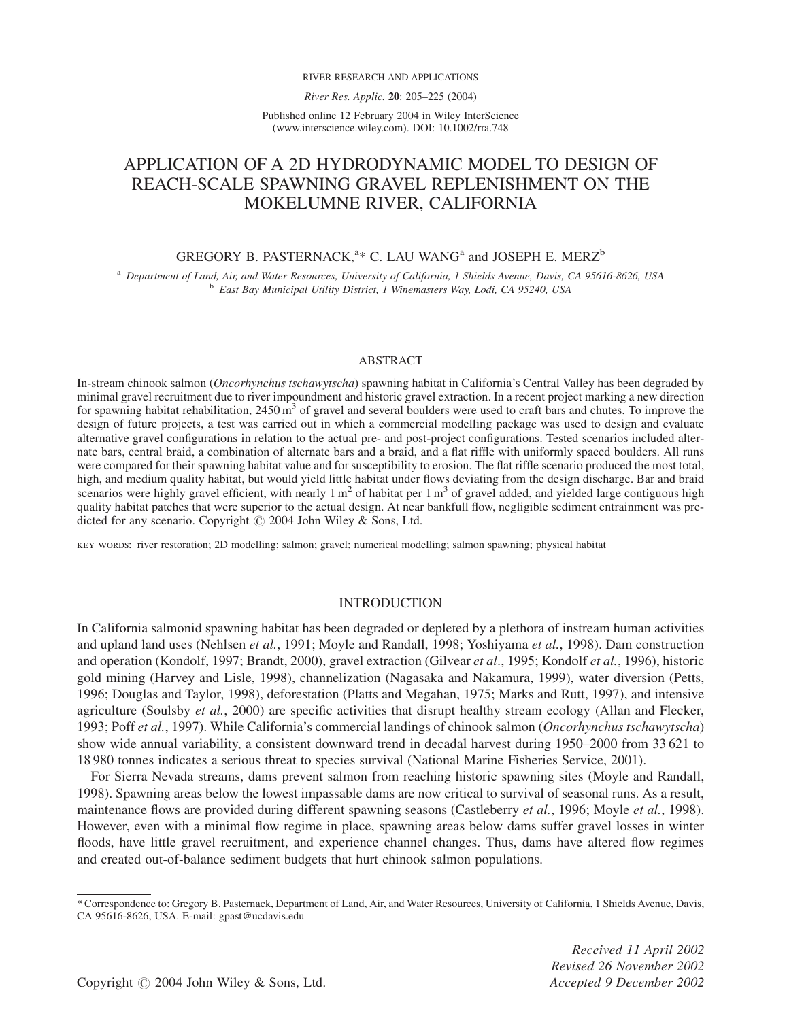#### RIVER RESEARCH AND APPLICATIONS

River Res. Applic. 20: 205–225 (2004)

Published online 12 February 2004 in Wiley InterScience (www.interscience.wiley.com). DOI: 10.1002/rra.748

# APPLICATION OF A 2D HYDRODYNAMIC MODEL TO DESIGN OF REACH-SCALE SPAWNING GRAVEL REPLENISHMENT ON THE MOKELUMNE RIVER, CALIFORNIA

# GREGORY B. PASTERNACK,<sup> $a$ \*</sup> C. LAU WANG<sup>a</sup> and JOSEPH E. MERZ<sup>b</sup>

<sup>a</sup> Department of Land, Air, and Water Resources, University of California, 1 Shields Avenue, Davis, CA 95616-8626, USA <sup>b</sup> East Bay Municipal Utility District, 1 Winemasters Way, Lodi, CA 95240, USA

#### ABSTRACT

In-stream chinook salmon (Oncorhynchus tschawytscha) spawning habitat in California's Central Valley has been degraded by minimal gravel recruitment due to river impoundment and historic gravel extraction. In a recent project marking a new direction for spawning habitat rehabilitation,  $2450 \text{ m}^3$  of gravel and several boulders were used to craft bars and chutes. To improve the design of future projects, a test was carried out in which a commercial modelling package was used to design and evaluate alternative gravel configurations in relation to the actual pre- and post-project configurations. Tested scenarios included alternate bars, central braid, a combination of alternate bars and a braid, and a flat riffle with uniformly spaced boulders. All runs were compared for their spawning habitat value and for susceptibility to erosion. The flat riffle scenario produced the most total, high, and medium quality habitat, but would yield little habitat under flows deviating from the design discharge. Bar and braid scenarios were highly gravel efficient, with nearly  $1 \text{ m}^2$  of habitat per  $1 \text{ m}^3$  of gravel added, and yielded large contiguous high quality habitat patches that were superior to the actual design. At near bankfull flow, negligible sediment entrainment was predicted for any scenario. Copyright  $\odot$  2004 John Wiley & Sons, Ltd.

key words: river restoration; 2D modelling; salmon; gravel; numerical modelling; salmon spawning; physical habitat

# INTRODUCTION

In California salmonid spawning habitat has been degraded or depleted by a plethora of instream human activities and upland land uses (Nehlsen et al., 1991; Moyle and Randall, 1998; Yoshiyama et al., 1998). Dam construction and operation (Kondolf, 1997; Brandt, 2000), gravel extraction (Gilvear et al., 1995; Kondolf et al., 1996), historic gold mining (Harvey and Lisle, 1998), channelization (Nagasaka and Nakamura, 1999), water diversion (Petts, 1996; Douglas and Taylor, 1998), deforestation (Platts and Megahan, 1975; Marks and Rutt, 1997), and intensive agriculture (Soulsby *et al.*, 2000) are specific activities that disrupt healthy stream ecology (Allan and Flecker, 1993; Poff et al., 1997). While California's commercial landings of chinook salmon (Oncorhynchus tschawytscha) show wide annual variability, a consistent downward trend in decadal harvest during 1950–2000 from 33 621 to 18 980 tonnes indicates a serious threat to species survival (National Marine Fisheries Service, 2001).

For Sierra Nevada streams, dams prevent salmon from reaching historic spawning sites (Moyle and Randall, 1998). Spawning areas below the lowest impassable dams are now critical to survival of seasonal runs. As a result, maintenance flows are provided during different spawning seasons (Castleberry *et al.*, 1996; Moyle *et al.*, 1998). However, even with a minimal flow regime in place, spawning areas below dams suffer gravel losses in winter floods, have little gravel recruitment, and experience channel changes. Thus, dams have altered flow regimes and created out-of-balance sediment budgets that hurt chinook salmon populations.

Received 11 April 2002 Revised 26 November 2002

<sup>\*</sup> Correspondence to: Gregory B. Pasternack, Department of Land, Air, and Water Resources, University of California, 1 Shields Avenue, Davis, CA 95616-8626, USA. E-mail: gpast@ucdavis.edu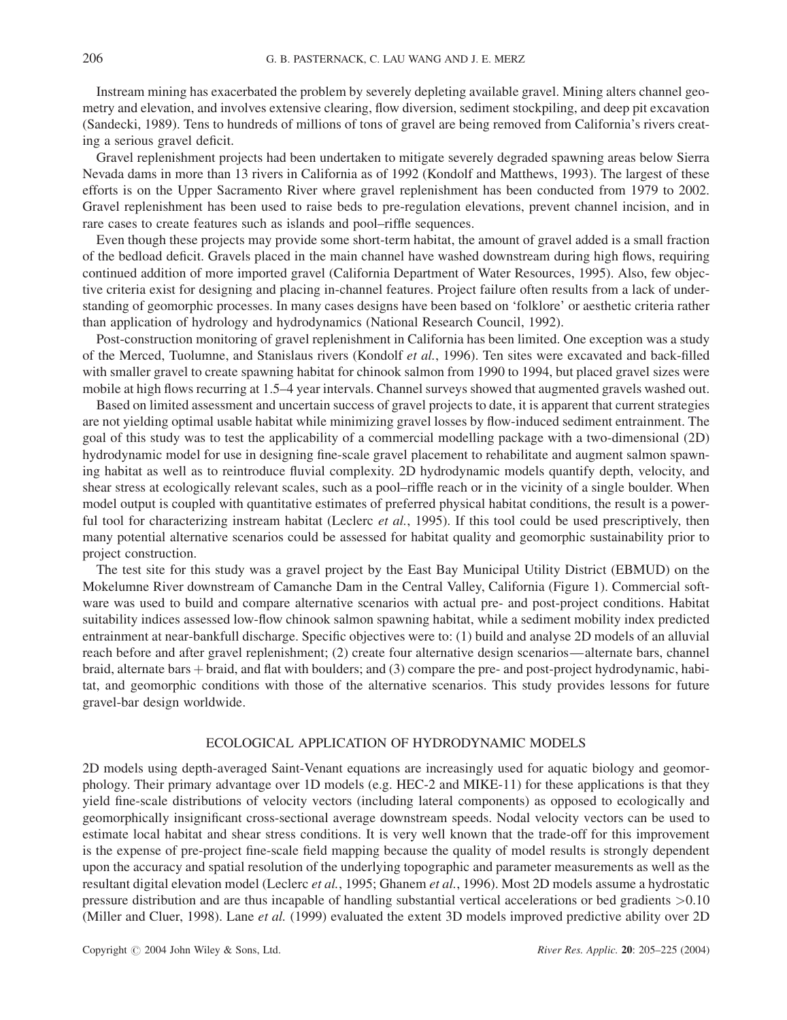Instream mining has exacerbated the problem by severely depleting available gravel. Mining alters channel geometry and elevation, and involves extensive clearing, flow diversion, sediment stockpiling, and deep pit excavation (Sandecki, 1989). Tens to hundreds of millions of tons of gravel are being removed from California's rivers creating a serious gravel deficit.

Gravel replenishment projects had been undertaken to mitigate severely degraded spawning areas below Sierra Nevada dams in more than 13 rivers in California as of 1992 (Kondolf and Matthews, 1993). The largest of these efforts is on the Upper Sacramento River where gravel replenishment has been conducted from 1979 to 2002. Gravel replenishment has been used to raise beds to pre-regulation elevations, prevent channel incision, and in rare cases to create features such as islands and pool–riffle sequences.

Even though these projects may provide some short-term habitat, the amount of gravel added is a small fraction of the bedload deficit. Gravels placed in the main channel have washed downstream during high flows, requiring continued addition of more imported gravel (California Department of Water Resources, 1995). Also, few objective criteria exist for designing and placing in-channel features. Project failure often results from a lack of understanding of geomorphic processes. In many cases designs have been based on 'folklore' or aesthetic criteria rather than application of hydrology and hydrodynamics (National Research Council, 1992).

Post-construction monitoring of gravel replenishment in California has been limited. One exception was a study of the Merced, Tuolumne, and Stanislaus rivers (Kondolf et al., 1996). Ten sites were excavated and back-filled with smaller gravel to create spawning habitat for chinook salmon from 1990 to 1994, but placed gravel sizes were mobile at high flows recurring at 1.5–4 year intervals. Channel surveys showed that augmented gravels washed out.

Based on limited assessment and uncertain success of gravel projects to date, it is apparent that current strategies are not yielding optimal usable habitat while minimizing gravel losses by flow-induced sediment entrainment. The goal of this study was to test the applicability of a commercial modelling package with a two-dimensional (2D) hydrodynamic model for use in designing fine-scale gravel placement to rehabilitate and augment salmon spawning habitat as well as to reintroduce fluvial complexity. 2D hydrodynamic models quantify depth, velocity, and shear stress at ecologically relevant scales, such as a pool–riffle reach or in the vicinity of a single boulder. When model output is coupled with quantitative estimates of preferred physical habitat conditions, the result is a powerful tool for characterizing instream habitat (Leclerc et al., 1995). If this tool could be used prescriptively, then many potential alternative scenarios could be assessed for habitat quality and geomorphic sustainability prior to project construction.

The test site for this study was a gravel project by the East Bay Municipal Utility District (EBMUD) on the Mokelumne River downstream of Camanche Dam in the Central Valley, California (Figure 1). Commercial software was used to build and compare alternative scenarios with actual pre- and post-project conditions. Habitat suitability indices assessed low-flow chinook salmon spawning habitat, while a sediment mobility index predicted entrainment at near-bankfull discharge. Specific objectives were to: (1) build and analyse 2D models of an alluvial reach before and after gravel replenishment; (2) create four alternative design scenarios—alternate bars, channel braid, alternate bars þ braid, and flat with boulders; and (3) compare the pre- and post-project hydrodynamic, habitat, and geomorphic conditions with those of the alternative scenarios. This study provides lessons for future gravel-bar design worldwide.

# ECOLOGICAL APPLICATION OF HYDRODYNAMIC MODELS

2D models using depth-averaged Saint-Venant equations are increasingly used for aquatic biology and geomorphology. Their primary advantage over 1D models (e.g. HEC-2 and MIKE-11) for these applications is that they yield fine-scale distributions of velocity vectors (including lateral components) as opposed to ecologically and geomorphically insignificant cross-sectional average downstream speeds. Nodal velocity vectors can be used to estimate local habitat and shear stress conditions. It is very well known that the trade-off for this improvement is the expense of pre-project fine-scale field mapping because the quality of model results is strongly dependent upon the accuracy and spatial resolution of the underlying topographic and parameter measurements as well as the resultant digital elevation model (Leclerc et al., 1995; Ghanem et al., 1996). Most 2D models assume a hydrostatic pressure distribution and are thus incapable of handling substantial vertical accelerations or bed gradients >0.10 (Miller and Cluer, 1998). Lane et al. (1999) evaluated the extent 3D models improved predictive ability over 2D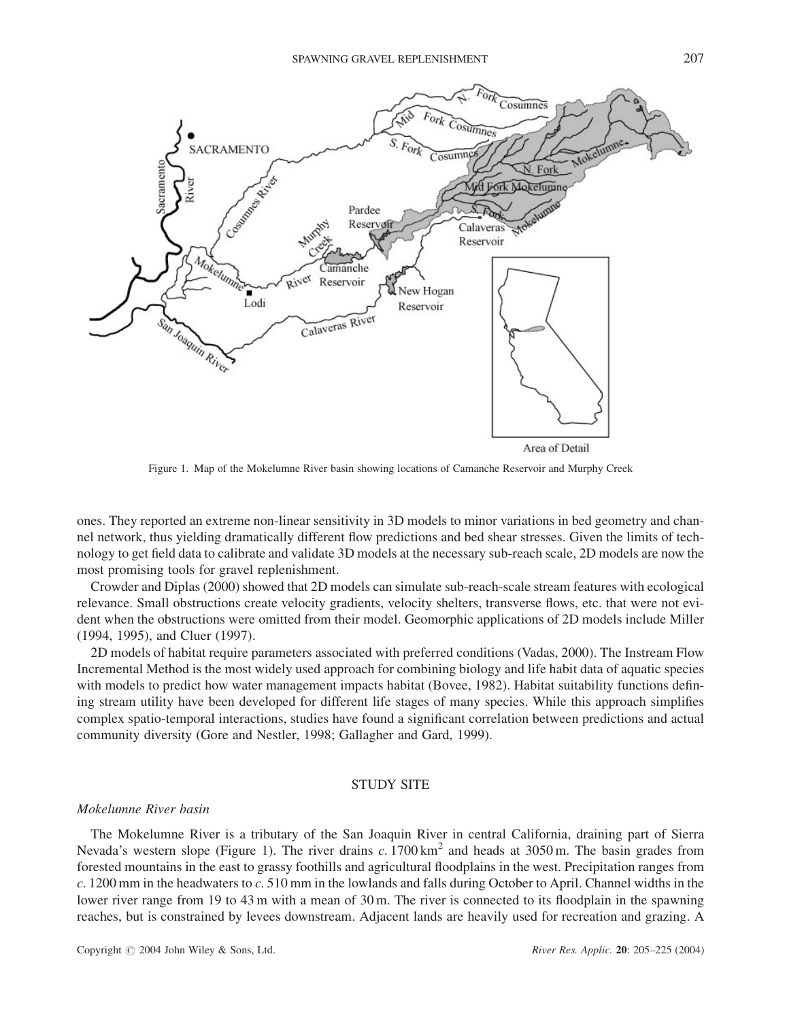

Area of Detail

Figure 1. Map of the Mokelumne River basin showing locations of Camanche Reservoir and Murphy Creek

Calaveras River

ones. They reported an extreme non-linear sensitivity in 3D models to minor variations in bed geometry and channel network, thus yielding dramatically different flow predictions and bed shear stresses. Given the limits of technology to get field data to calibrate and validate 3D models at the necessary sub-reach scale, 2D models are now the most promising tools for gravel replenishment.

Crowder and Diplas (2000) showed that 2D models can simulate sub-reach-scale stream features with ecological relevance. Small obstructions create velocity gradients, velocity shelters, transverse flows, etc. that were not evident when the obstructions were omitted from their model. Geomorphic applications of 2D models include Miller (1994, 1995), and Cluer (1997).

2D models of habitat require parameters associated with preferred conditions (Vadas, 2000). The Instream Flow Incremental Method is the most widely used approach for combining biology and life habit data of aquatic species with models to predict how water management impacts habitat (Bovee, 1982). Habitat suitability functions defining stream utility have been developed for different life stages of many species. While this approach simplifies complex spatio-temporal interactions, studies have found a significant correlation between predictions and actual community diversity (Gore and Nestler, 1998; Gallagher and Gard, 1999).

# STUDY SITE

# Mokelumne River basin

acramento

San Joaquin River

The Mokelumne River is a tributary of the San Joaquin River in central California, draining part of Sierra Nevada's western slope (Figure 1). The river drains  $c$ . 1700 km<sup>2</sup> and heads at 3050 m. The basin grades from forested mountains in the east to grassy foothills and agricultural floodplains in the west. Precipitation ranges from c. 1200 mm in the headwaters to c. 510 mm in the lowlands and falls during October to April. Channel widths in the lower river range from 19 to 43 m with a mean of 30 m. The river is connected to its floodplain in the spawning reaches, but is constrained by levees downstream. Adjacent lands are heavily used for recreation and grazing. A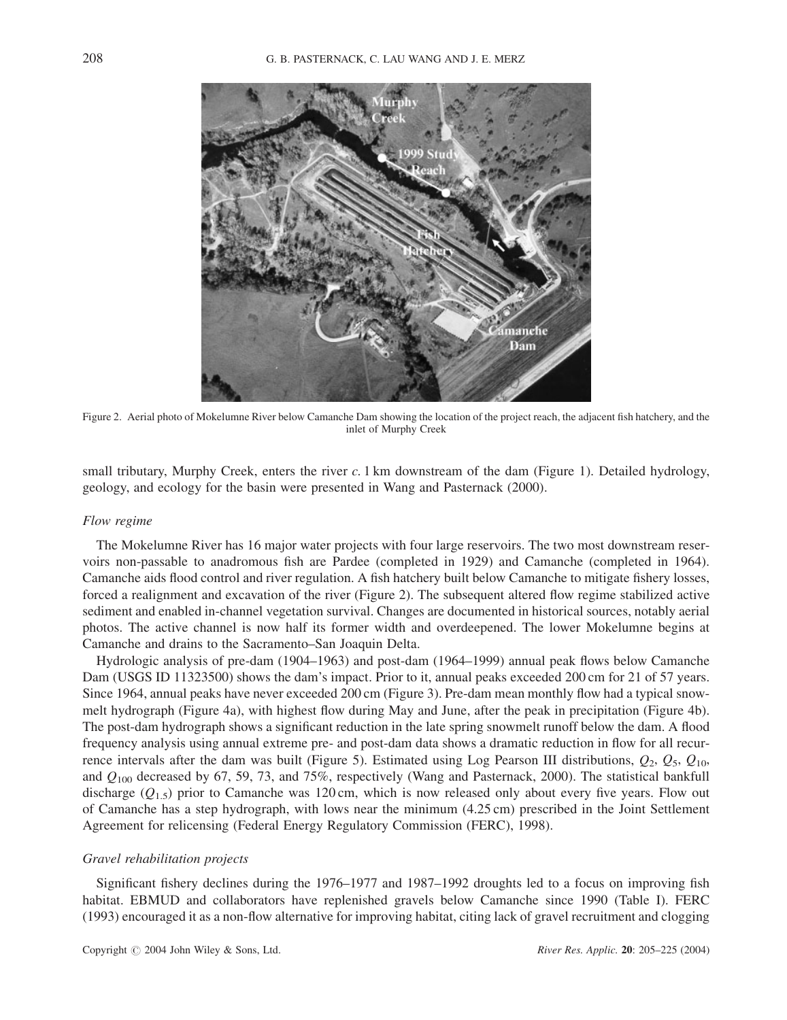

Figure 2. Aerial photo of Mokelumne River below Camanche Dam showing the location of the project reach, the adjacent fish hatchery, and the inlet of Murphy Creek

small tributary, Murphy Creek, enters the river  $c$ . 1 km downstream of the dam (Figure 1). Detailed hydrology, geology, and ecology for the basin were presented in Wang and Pasternack (2000).

## Flow regime

The Mokelumne River has 16 major water projects with four large reservoirs. The two most downstream reservoirs non-passable to anadromous fish are Pardee (completed in 1929) and Camanche (completed in 1964). Camanche aids flood control and river regulation. A fish hatchery built below Camanche to mitigate fishery losses, forced a realignment and excavation of the river (Figure 2). The subsequent altered flow regime stabilized active sediment and enabled in-channel vegetation survival. Changes are documented in historical sources, notably aerial photos. The active channel is now half its former width and overdeepened. The lower Mokelumne begins at Camanche and drains to the Sacramento–San Joaquin Delta.

Hydrologic analysis of pre-dam (1904–1963) and post-dam (1964–1999) annual peak flows below Camanche Dam (USGS ID 11323500) shows the dam's impact. Prior to it, annual peaks exceeded 200 cm for 21 of 57 years. Since 1964, annual peaks have never exceeded 200 cm (Figure 3). Pre-dam mean monthly flow had a typical snowmelt hydrograph (Figure 4a), with highest flow during May and June, after the peak in precipitation (Figure 4b). The post-dam hydrograph shows a significant reduction in the late spring snowmelt runoff below the dam. A flood frequency analysis using annual extreme pre- and post-dam data shows a dramatic reduction in flow for all recurrence intervals after the dam was built (Figure 5). Estimated using Log Pearson III distributions,  $Q_2$ ,  $Q_5$ ,  $Q_{10}$ , and  $Q_{100}$  decreased by 67, 59, 73, and 75%, respectively (Wang and Pasternack, 2000). The statistical bankfull discharge  $(Q_{1.5})$  prior to Camanche was 120 cm, which is now released only about every five years. Flow out of Camanche has a step hydrograph, with lows near the minimum (4.25 cm) prescribed in the Joint Settlement Agreement for relicensing (Federal Energy Regulatory Commission (FERC), 1998).

# Gravel rehabilitation projects

Significant fishery declines during the 1976–1977 and 1987–1992 droughts led to a focus on improving fish habitat. EBMUD and collaborators have replenished gravels below Camanche since 1990 (Table I). FERC (1993) encouraged it as a non-flow alternative for improving habitat, citing lack of gravel recruitment and clogging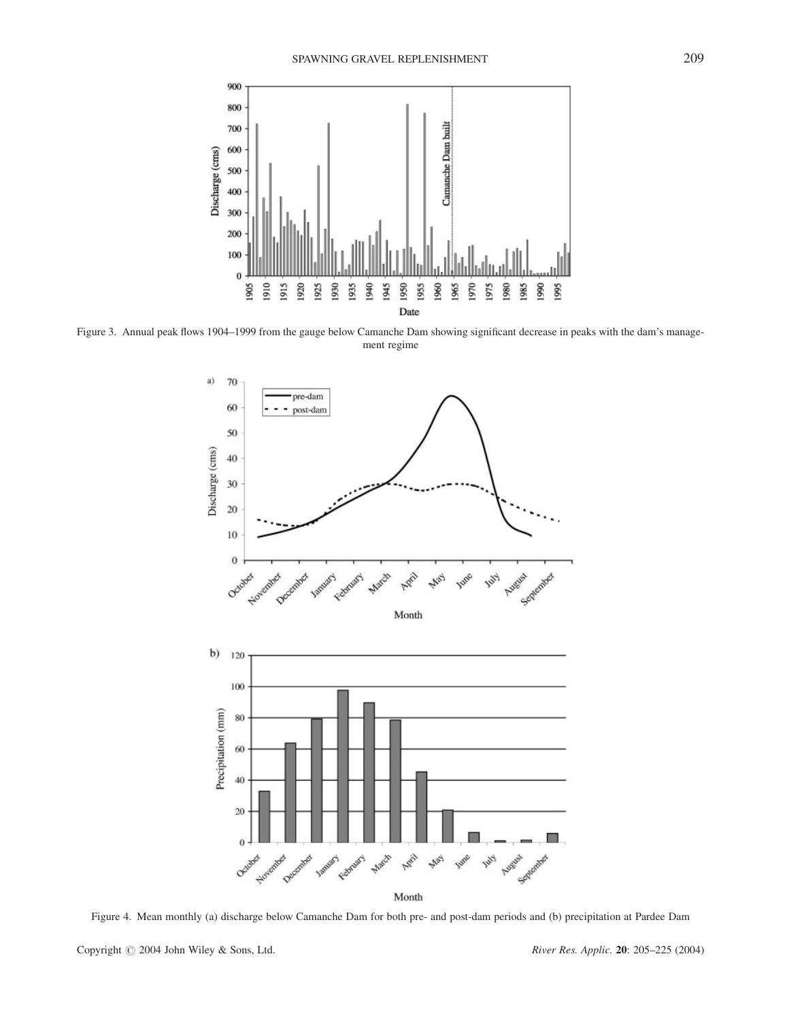

Figure 3. Annual peak flows 1904–1999 from the gauge below Camanche Dam showing significant decrease in peaks with the dam's management regime



Figure 4. Mean monthly (a) discharge below Camanche Dam for both pre- and post-dam periods and (b) precipitation at Pardee Dam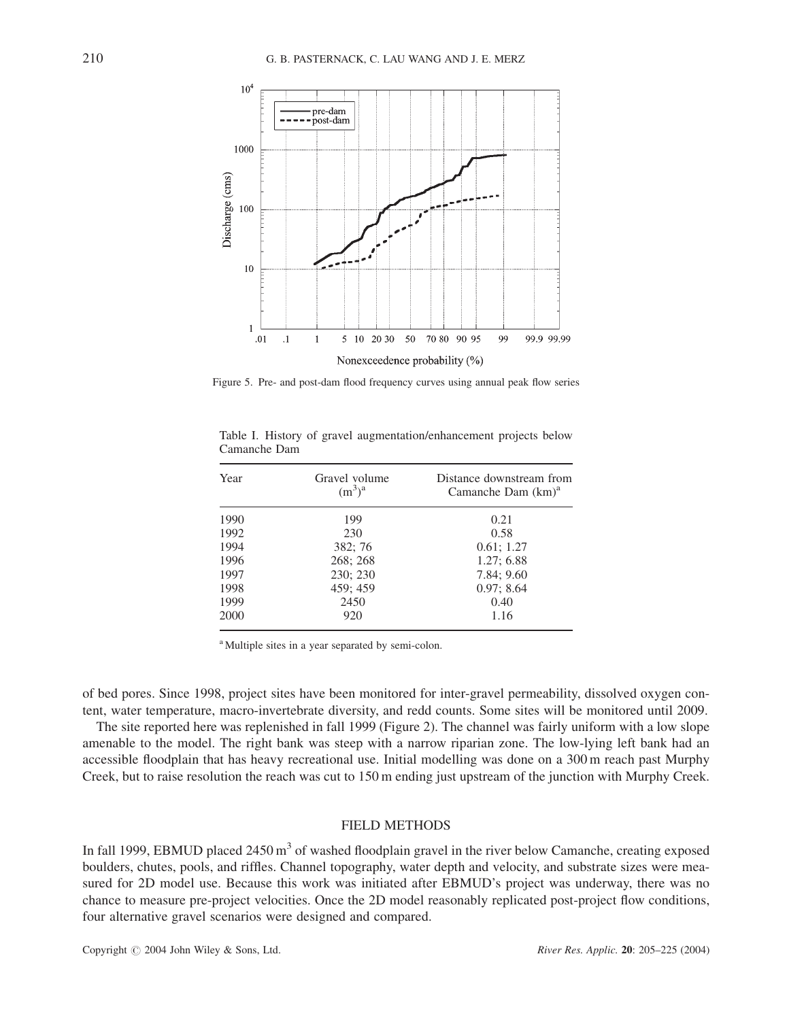

Figure 5. Pre- and post-dam flood frequency curves using annual peak flow series

| Year | Gravel volume<br>$(m^3)^a$ | Distance downstream from<br>Camanche Dam $(km)^a$ |  |  |  |  |
|------|----------------------------|---------------------------------------------------|--|--|--|--|
| 1990 | 199                        | 0.21                                              |  |  |  |  |
| 1992 | 230                        | 0.58                                              |  |  |  |  |
| 1994 | 382:76                     | 0.61; 1.27                                        |  |  |  |  |
| 1996 | 268; 268                   | 1.27:6.88                                         |  |  |  |  |
| 1997 | 230; 230                   | 7.84; 9.60                                        |  |  |  |  |
| 1998 | 459; 459                   | 0.97: 8.64                                        |  |  |  |  |
| 1999 | 2450                       | 0.40                                              |  |  |  |  |
| 2000 | 920                        | 1.16                                              |  |  |  |  |

Table I. History of gravel augmentation/enhancement projects below Camanche Dam

<sup>a</sup> Multiple sites in a year separated by semi-colon.

of bed pores. Since 1998, project sites have been monitored for inter-gravel permeability, dissolved oxygen content, water temperature, macro-invertebrate diversity, and redd counts. Some sites will be monitored until 2009.

The site reported here was replenished in fall 1999 (Figure 2). The channel was fairly uniform with a low slope amenable to the model. The right bank was steep with a narrow riparian zone. The low-lying left bank had an accessible floodplain that has heavy recreational use. Initial modelling was done on a 300 m reach past Murphy Creek, but to raise resolution the reach was cut to 150 m ending just upstream of the junction with Murphy Creek.

# FIELD METHODS

In fall 1999, EBMUD placed 2450 m<sup>3</sup> of washed floodplain gravel in the river below Camanche, creating exposed boulders, chutes, pools, and riffles. Channel topography, water depth and velocity, and substrate sizes were measured for 2D model use. Because this work was initiated after EBMUD's project was underway, there was no chance to measure pre-project velocities. Once the 2D model reasonably replicated post-project flow conditions, four alternative gravel scenarios were designed and compared.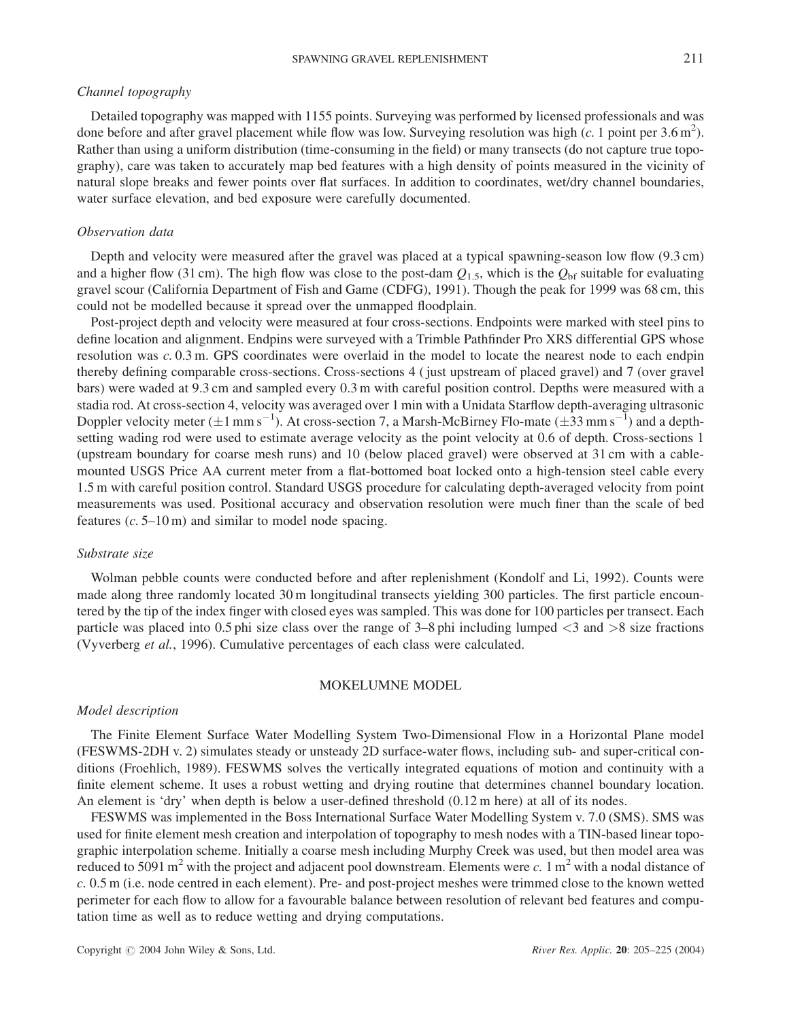# Channel topography

Detailed topography was mapped with 1155 points. Surveying was performed by licensed professionals and was done before and after gravel placement while flow was low. Surveying resolution was high  $(c. 1 \text{ point per } 3.6 \text{ m}^2)$ . Rather than using a uniform distribution (time-consuming in the field) or many transects (do not capture true topography), care was taken to accurately map bed features with a high density of points measured in the vicinity of natural slope breaks and fewer points over flat surfaces. In addition to coordinates, wet/dry channel boundaries, water surface elevation, and bed exposure were carefully documented.

# Observation data

Depth and velocity were measured after the gravel was placed at a typical spawning-season low flow (9.3 cm) and a higher flow (31 cm). The high flow was close to the post-dam  $Q_{1.5}$ , which is the  $Q_{\rm bf}$  suitable for evaluating gravel scour (California Department of Fish and Game (CDFG), 1991). Though the peak for 1999 was 68 cm, this could not be modelled because it spread over the unmapped floodplain.

Post-project depth and velocity were measured at four cross-sections. Endpoints were marked with steel pins to define location and alignment. Endpins were surveyed with a Trimble Pathfinder Pro XRS differential GPS whose resolution was c. 0.3 m. GPS coordinates were overlaid in the model to locate the nearest node to each endpin thereby defining comparable cross-sections. Cross-sections 4 ( just upstream of placed gravel) and 7 (over gravel bars) were waded at 9.3 cm and sampled every 0.3 m with careful position control. Depths were measured with a stadia rod. At cross-section 4, velocity was averaged over 1 min with a Unidata Starflow depth-averaging ultrasonic Doppler velocity meter  $(\pm 1 \text{ mm s}^{-1})$ . At cross-section 7, a Marsh-McBirney Flo-mate  $(\pm 33 \text{ mm s}^{-1})$  and a depthsetting wading rod were used to estimate average velocity as the point velocity at 0.6 of depth. Cross-sections 1 (upstream boundary for coarse mesh runs) and 10 (below placed gravel) were observed at 31 cm with a cablemounted USGS Price AA current meter from a flat-bottomed boat locked onto a high-tension steel cable every 1.5 m with careful position control. Standard USGS procedure for calculating depth-averaged velocity from point measurements was used. Positional accuracy and observation resolution were much finer than the scale of bed features  $(c. 5-10 \text{ m})$  and similar to model node spacing.

#### Substrate size

Wolman pebble counts were conducted before and after replenishment (Kondolf and Li, 1992). Counts were made along three randomly located 30 m longitudinal transects yielding 300 particles. The first particle encountered by the tip of the index finger with closed eyes was sampled. This was done for 100 particles per transect. Each particle was placed into 0.5 phi size class over the range of  $3-8$  phi including lumped  $\langle 3 \rangle$  and  $\langle 8 \rangle$  size fractions (Vyverberg et al., 1996). Cumulative percentages of each class were calculated.

### MOKELUMNE MODEL

## Model description

The Finite Element Surface Water Modelling System Two-Dimensional Flow in a Horizontal Plane model (FESWMS-2DH v. 2) simulates steady or unsteady 2D surface-water flows, including sub- and super-critical conditions (Froehlich, 1989). FESWMS solves the vertically integrated equations of motion and continuity with a finite element scheme. It uses a robust wetting and drying routine that determines channel boundary location. An element is 'dry' when depth is below a user-defined threshold (0.12 m here) at all of its nodes.

FESWMS was implemented in the Boss International Surface Water Modelling System v. 7.0 (SMS). SMS was used for finite element mesh creation and interpolation of topography to mesh nodes with a TIN-based linear topographic interpolation scheme. Initially a coarse mesh including Murphy Creek was used, but then model area was reduced to 5091 m<sup>2</sup> with the project and adjacent pool downstream. Elements were c. 1 m<sup>2</sup> with a nodal distance of c. 0.5 m (i.e. node centred in each element). Pre- and post-project meshes were trimmed close to the known wetted perimeter for each flow to allow for a favourable balance between resolution of relevant bed features and computation time as well as to reduce wetting and drying computations.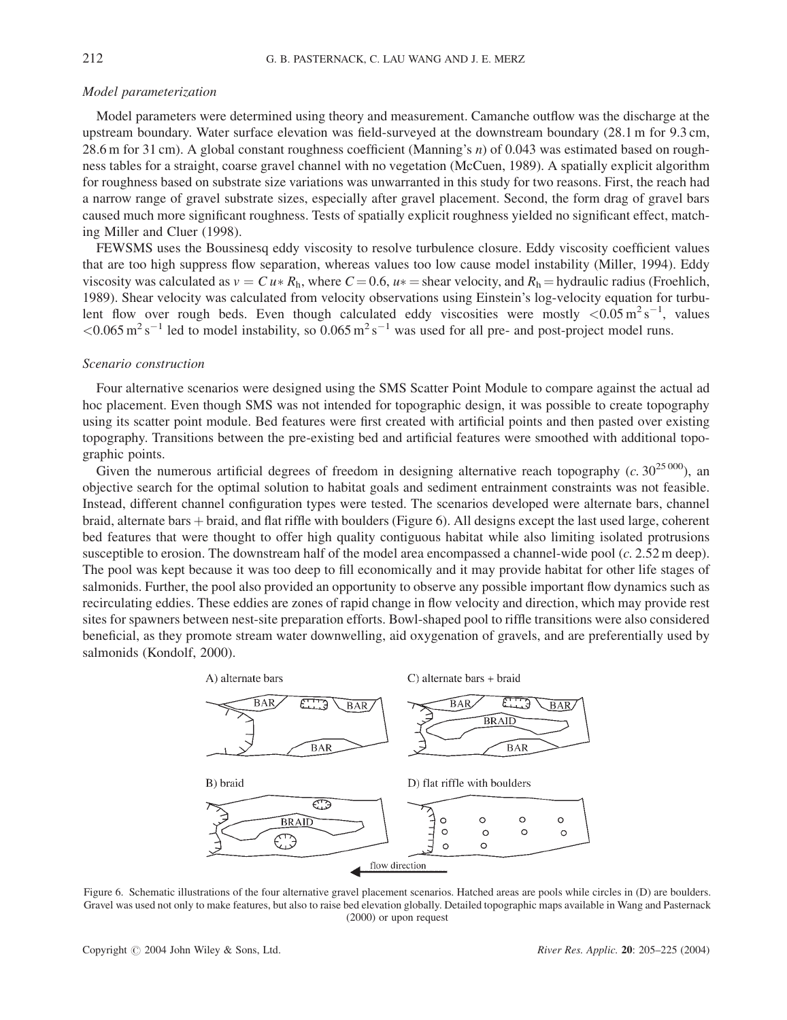# Model parameterization

Model parameters were determined using theory and measurement. Camanche outflow was the discharge at the upstream boundary. Water surface elevation was field-surveyed at the downstream boundary (28.1 m for 9.3 cm, 28.6 m for 31 cm). A global constant roughness coefficient (Manning's n) of 0.043 was estimated based on roughness tables for a straight, coarse gravel channel with no vegetation (McCuen, 1989). A spatially explicit algorithm for roughness based on substrate size variations was unwarranted in this study for two reasons. First, the reach had a narrow range of gravel substrate sizes, especially after gravel placement. Second, the form drag of gravel bars caused much more significant roughness. Tests of spatially explicit roughness yielded no significant effect, matching Miller and Cluer (1998).

FEWSMS uses the Boussinesq eddy viscosity to resolve turbulence closure. Eddy viscosity coefficient values that are too high suppress flow separation, whereas values too low cause model instability (Miller, 1994). Eddy viscosity was calculated as  $v = C u * R_h$ , where  $C = 0.6$ ,  $u * =$  shear velocity, and  $R_h =$  hydraulic radius (Froehlich, 1989). Shear velocity was calculated from velocity observations using Einstein's log-velocity equation for turbulent flow over rough beds. Even though calculated eddy viscosities were mostly  $\langle 0.05 \text{ m}^2 \text{ s}^{-1}$ , values  $\leq 0.065 \,\mathrm{m^2\,s^{-1}}$  led to model instability, so  $0.065 \,\mathrm{m^2\,s^{-1}}$  was used for all pre- and post-project model runs.

# Scenario construction

Four alternative scenarios were designed using the SMS Scatter Point Module to compare against the actual ad hoc placement. Even though SMS was not intended for topographic design, it was possible to create topography using its scatter point module. Bed features were first created with artificial points and then pasted over existing topography. Transitions between the pre-existing bed and artificial features were smoothed with additional topographic points.

Given the numerous artificial degrees of freedom in designing alternative reach topography  $(c. 30^{25\,000})$ , an objective search for the optimal solution to habitat goals and sediment entrainment constraints was not feasible. Instead, different channel configuration types were tested. The scenarios developed were alternate bars, channel braid, alternate bars + braid, and flat riffle with boulders (Figure 6). All designs except the last used large, coherent bed features that were thought to offer high quality contiguous habitat while also limiting isolated protrusions susceptible to erosion. The downstream half of the model area encompassed a channel-wide pool (c. 2.52 m deep). The pool was kept because it was too deep to fill economically and it may provide habitat for other life stages of salmonids. Further, the pool also provided an opportunity to observe any possible important flow dynamics such as recirculating eddies. These eddies are zones of rapid change in flow velocity and direction, which may provide rest sites for spawners between nest-site preparation efforts. Bowl-shaped pool to riffle transitions were also considered beneficial, as they promote stream water downwelling, aid oxygenation of gravels, and are preferentially used by salmonids (Kondolf, 2000).



Figure 6. Schematic illustrations of the four alternative gravel placement scenarios. Hatched areas are pools while circles in (D) are boulders. Gravel was used not only to make features, but also to raise bed elevation globally. Detailed topographic maps available in Wang and Pasternack (2000) or upon request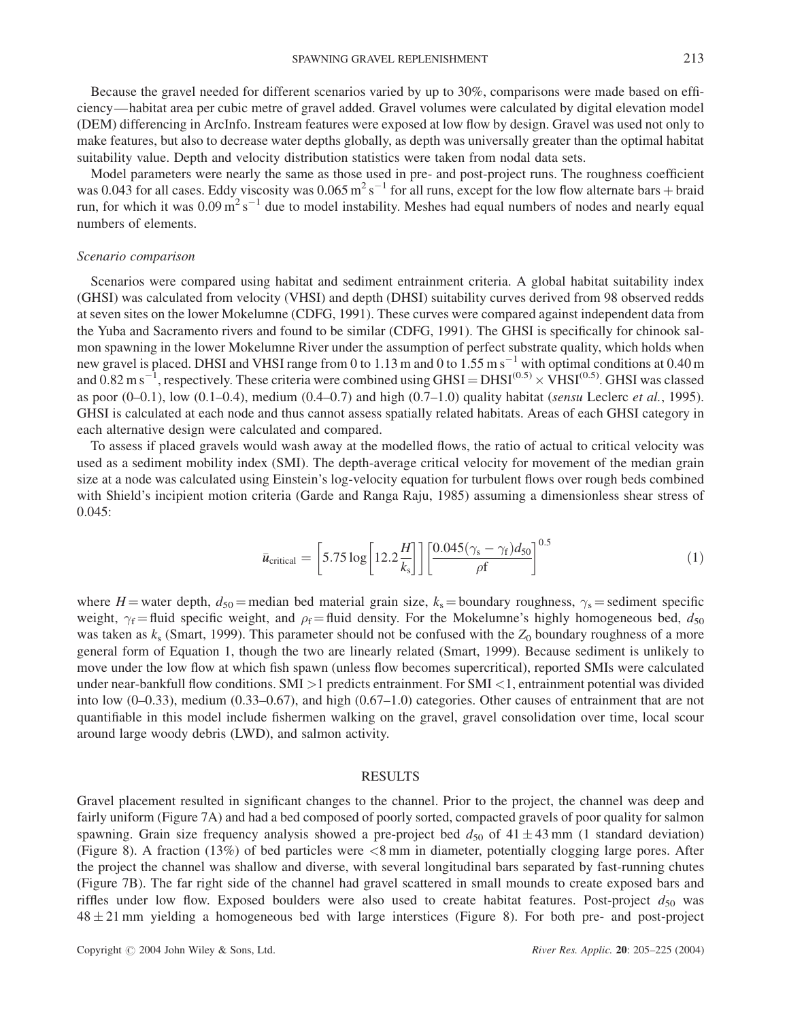Because the gravel needed for different scenarios varied by up to 30%, comparisons were made based on efficiency—habitat area per cubic metre of gravel added. Gravel volumes were calculated by digital elevation model (DEM) differencing in ArcInfo. Instream features were exposed at low flow by design. Gravel was used not only to make features, but also to decrease water depths globally, as depth was universally greater than the optimal habitat suitability value. Depth and velocity distribution statistics were taken from nodal data sets.

Model parameters were nearly the same as those used in pre- and post-project runs. The roughness coefficient was 0.043 for all cases. Eddy viscosity was  $0.065 \text{ m}^2 \text{ s}^{-1}$  for all runs, except for the low flow alternate bars + braid run, for which it was  $0.09 \text{ m}^2 \text{ s}^{-1}$  due to model instability. Meshes had equal numbers of nodes and nearly equal numbers of elements.

#### Scenario comparison

Scenarios were compared using habitat and sediment entrainment criteria. A global habitat suitability index (GHSI) was calculated from velocity (VHSI) and depth (DHSI) suitability curves derived from 98 observed redds at seven sites on the lower Mokelumne (CDFG, 1991). These curves were compared against independent data from the Yuba and Sacramento rivers and found to be similar (CDFG, 1991). The GHSI is specifically for chinook salmon spawning in the lower Mokelumne River under the assumption of perfect substrate quality, which holds when new gravel is placed. DHSI and VHSI range from 0 to 1.13 m and 0 to  $1.55 \text{ m s}^{-1}$  with optimal conditions at 0.40 m and  $0.82$  m s<sup>-1</sup>, respectively. These criteria were combined using GHSI = DHSI<sup>(0.5)</sup>  $\times$  VHSI<sup>(0.5)</sup>. GHSI was classed as poor  $(0-0.1)$ , low  $(0.1-0.4)$ , medium  $(0.4-0.7)$  and high  $(0.7-1.0)$  quality habitat (sensu Leclerc et al., 1995). GHSI is calculated at each node and thus cannot assess spatially related habitats. Areas of each GHSI category in each alternative design were calculated and compared.

To assess if placed gravels would wash away at the modelled flows, the ratio of actual to critical velocity was used as a sediment mobility index (SMI). The depth-average critical velocity for movement of the median grain size at a node was calculated using Einstein's log-velocity equation for turbulent flows over rough beds combined with Shield's incipient motion criteria (Garde and Ranga Raju, 1985) assuming a dimensionless shear stress of 0.045:

$$
\bar{u}_{\text{critical}} = \left[5.75 \log \left[12.2 \frac{H}{k_s}\right]\right] \left[\frac{0.045(\gamma_s - \gamma_f)d_{50}}{\rho f}\right]^{0.5} \tag{1}
$$

where H = water depth,  $d_{50}$  = median bed material grain size,  $k_s$  = boundary roughness,  $\gamma_s$  = sediment specific weight,  $\gamma_f$  = fluid specific weight, and  $\rho_f$  = fluid density. For the Mokelumne's highly homogeneous bed,  $d_{50}$ was taken as  $k_s$  (Smart, 1999). This parameter should not be confused with the  $Z_0$  boundary roughness of a more general form of Equation 1, though the two are linearly related (Smart, 1999). Because sediment is unlikely to move under the low flow at which fish spawn (unless flow becomes supercritical), reported SMIs were calculated under near-bankfull flow conditions. SMI >1 predicts entrainment. For SMI <1, entrainment potential was divided into low (0–0.33), medium (0.33–0.67), and high (0.67–1.0) categories. Other causes of entrainment that are not quantifiable in this model include fishermen walking on the gravel, gravel consolidation over time, local scour around large woody debris (LWD), and salmon activity.

## RESULTS

Gravel placement resulted in significant changes to the channel. Prior to the project, the channel was deep and fairly uniform (Figure 7A) and had a bed composed of poorly sorted, compacted gravels of poor quality for salmon spawning. Grain size frequency analysis showed a pre-project bed  $d_{50}$  of  $41 \pm 43$  mm (1 standard deviation) (Figure 8). A fraction (13%) of bed particles were <8 mm in diameter, potentially clogging large pores. After the project the channel was shallow and diverse, with several longitudinal bars separated by fast-running chutes (Figure 7B). The far right side of the channel had gravel scattered in small mounds to create exposed bars and riffles under low flow. Exposed boulders were also used to create habitat features. Post-project  $d_{50}$  was  $48 \pm 21$  mm yielding a homogeneous bed with large interstices (Figure 8). For both pre- and post-project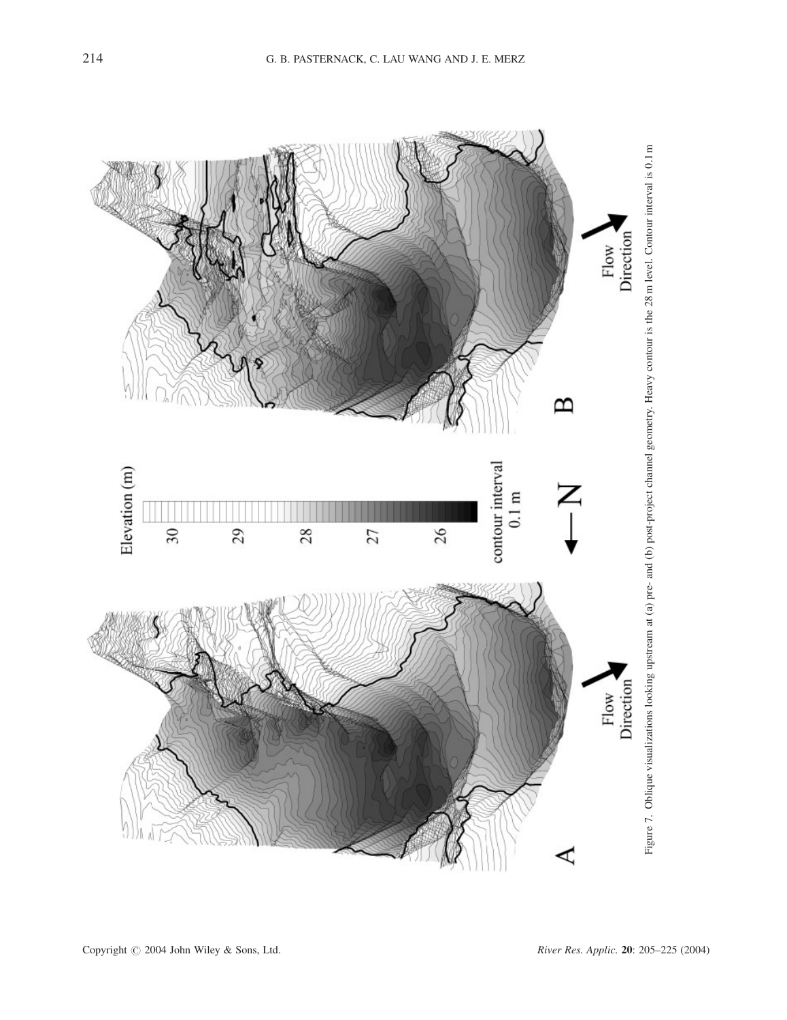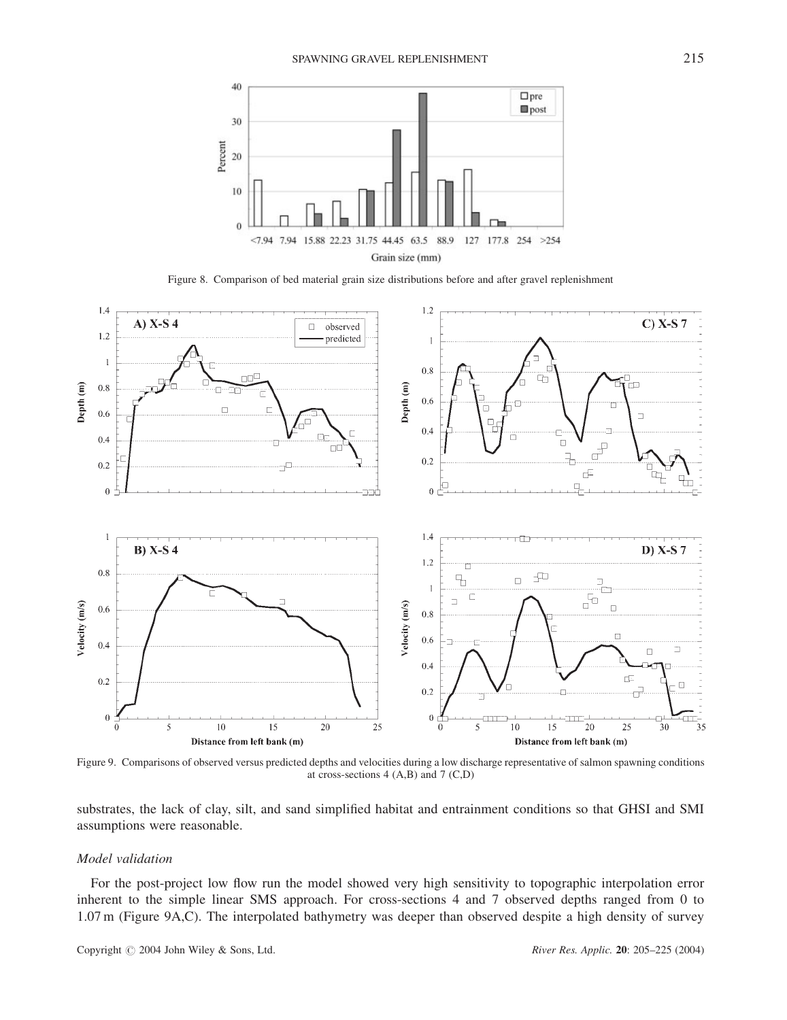

Figure 8. Comparison of bed material grain size distributions before and after gravel replenishment



Figure 9. Comparisons of observed versus predicted depths and velocities during a low discharge representative of salmon spawning conditions at cross-sections 4 (A,B) and 7 (C,D)

substrates, the lack of clay, silt, and sand simplified habitat and entrainment conditions so that GHSI and SMI assumptions were reasonable.

## Model validation

For the post-project low flow run the model showed very high sensitivity to topographic interpolation error inherent to the simple linear SMS approach. For cross-sections 4 and 7 observed depths ranged from 0 to 1.07 m (Figure 9A,C). The interpolated bathymetry was deeper than observed despite a high density of survey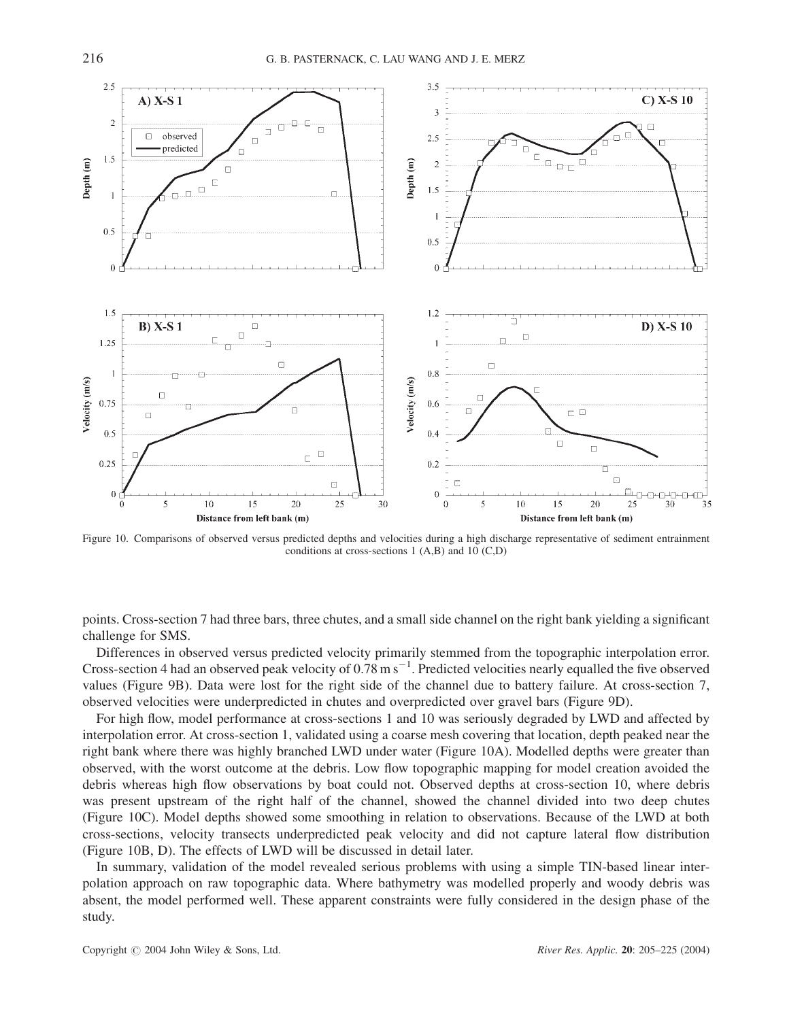

Figure 10. Comparisons of observed versus predicted depths and velocities during a high discharge representative of sediment entrainment conditions at cross-sections 1 (A,B) and 10 (C,D)

points. Cross-section 7 had three bars, three chutes, and a small side channel on the right bank yielding a significant challenge for SMS.

Differences in observed versus predicted velocity primarily stemmed from the topographic interpolation error. Cross-section 4 had an observed peak velocity of  $0.78 \text{ m s}^{-1}$ . Predicted velocities nearly equalled the five observed values (Figure 9B). Data were lost for the right side of the channel due to battery failure. At cross-section 7, observed velocities were underpredicted in chutes and overpredicted over gravel bars (Figure 9D).

For high flow, model performance at cross-sections 1 and 10 was seriously degraded by LWD and affected by interpolation error. At cross-section 1, validated using a coarse mesh covering that location, depth peaked near the right bank where there was highly branched LWD under water (Figure 10A). Modelled depths were greater than observed, with the worst outcome at the debris. Low flow topographic mapping for model creation avoided the debris whereas high flow observations by boat could not. Observed depths at cross-section 10, where debris was present upstream of the right half of the channel, showed the channel divided into two deep chutes (Figure 10C). Model depths showed some smoothing in relation to observations. Because of the LWD at both cross-sections, velocity transects underpredicted peak velocity and did not capture lateral flow distribution (Figure 10B, D). The effects of LWD will be discussed in detail later.

In summary, validation of the model revealed serious problems with using a simple TIN-based linear interpolation approach on raw topographic data. Where bathymetry was modelled properly and woody debris was absent, the model performed well. These apparent constraints were fully considered in the design phase of the study.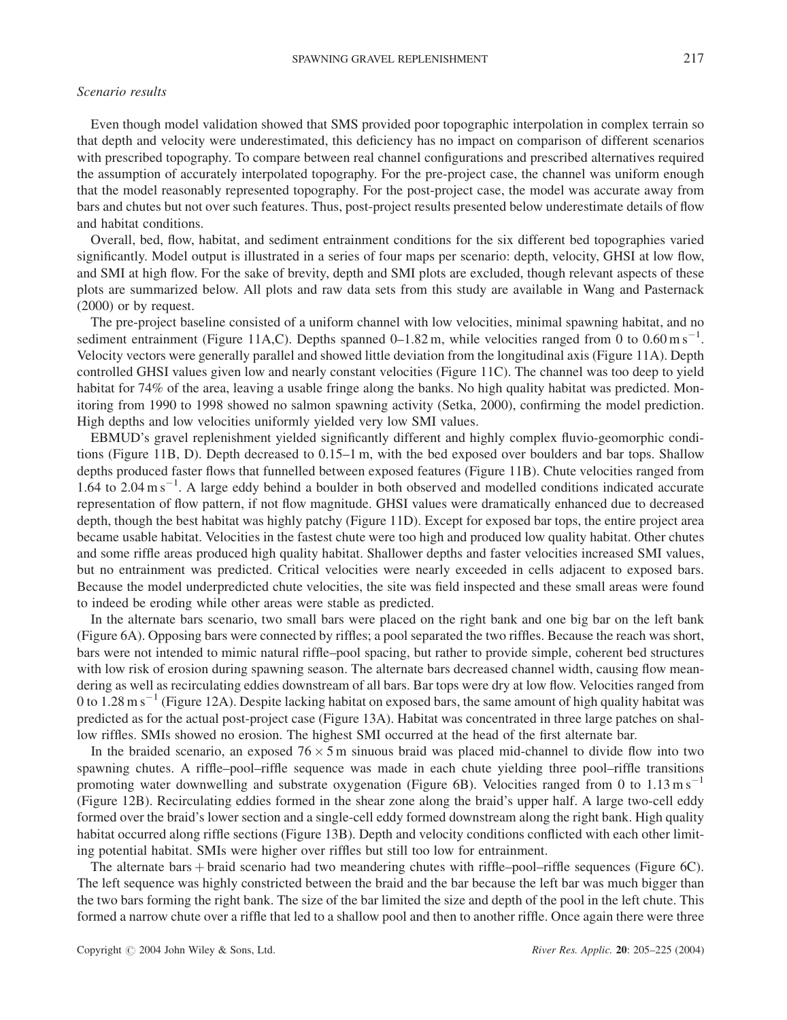# Scenario results

Even though model validation showed that SMS provided poor topographic interpolation in complex terrain so that depth and velocity were underestimated, this deficiency has no impact on comparison of different scenarios with prescribed topography. To compare between real channel configurations and prescribed alternatives required the assumption of accurately interpolated topography. For the pre-project case, the channel was uniform enough that the model reasonably represented topography. For the post-project case, the model was accurate away from bars and chutes but not over such features. Thus, post-project results presented below underestimate details of flow and habitat conditions.

Overall, bed, flow, habitat, and sediment entrainment conditions for the six different bed topographies varied significantly. Model output is illustrated in a series of four maps per scenario: depth, velocity, GHSI at low flow, and SMI at high flow. For the sake of brevity, depth and SMI plots are excluded, though relevant aspects of these plots are summarized below. All plots and raw data sets from this study are available in Wang and Pasternack (2000) or by request.

The pre-project baseline consisted of a uniform channel with low velocities, minimal spawning habitat, and no sediment entrainment (Figure 11A,C). Depths spanned  $0-1.82$  m, while velocities ranged from 0 to  $0.60 \text{ m s}^{-1}$ . Velocity vectors were generally parallel and showed little deviation from the longitudinal axis (Figure 11A). Depth controlled GHSI values given low and nearly constant velocities (Figure 11C). The channel was too deep to yield habitat for 74% of the area, leaving a usable fringe along the banks. No high quality habitat was predicted. Monitoring from 1990 to 1998 showed no salmon spawning activity (Setka, 2000), confirming the model prediction. High depths and low velocities uniformly yielded very low SMI values.

EBMUD's gravel replenishment yielded significantly different and highly complex fluvio-geomorphic conditions (Figure 11B, D). Depth decreased to 0.15–1 m, with the bed exposed over boulders and bar tops. Shallow depths produced faster flows that funnelled between exposed features (Figure 11B). Chute velocities ranged from 1.64 to 2.04 m s<sup>-1</sup>. A large eddy behind a boulder in both observed and modelled conditions indicated accurate representation of flow pattern, if not flow magnitude. GHSI values were dramatically enhanced due to decreased depth, though the best habitat was highly patchy (Figure 11D). Except for exposed bar tops, the entire project area became usable habitat. Velocities in the fastest chute were too high and produced low quality habitat. Other chutes and some riffle areas produced high quality habitat. Shallower depths and faster velocities increased SMI values, but no entrainment was predicted. Critical velocities were nearly exceeded in cells adjacent to exposed bars. Because the model underpredicted chute velocities, the site was field inspected and these small areas were found to indeed be eroding while other areas were stable as predicted.

In the alternate bars scenario, two small bars were placed on the right bank and one big bar on the left bank (Figure 6A). Opposing bars were connected by riffles; a pool separated the two riffles. Because the reach was short, bars were not intended to mimic natural riffle–pool spacing, but rather to provide simple, coherent bed structures with low risk of erosion during spawning season. The alternate bars decreased channel width, causing flow meandering as well as recirculating eddies downstream of all bars. Bar tops were dry at low flow. Velocities ranged from 0 to 1.28 m s<sup>-1</sup> (Figure 12A). Despite lacking habitat on exposed bars, the same amount of high quality habitat was predicted as for the actual post-project case (Figure 13A). Habitat was concentrated in three large patches on shallow riffles. SMIs showed no erosion. The highest SMI occurred at the head of the first alternate bar.

In the braided scenario, an exposed  $76 \times 5$  m sinuous braid was placed mid-channel to divide flow into two spawning chutes. A riffle–pool–riffle sequence was made in each chute yielding three pool–riffle transitions promoting water downwelling and substrate oxygenation (Figure 6B). Velocities ranged from 0 to  $1.13 \text{ m s}^{-1}$ (Figure 12B). Recirculating eddies formed in the shear zone along the braid's upper half. A large two-cell eddy formed over the braid's lower section and a single-cell eddy formed downstream along the right bank. High quality habitat occurred along riffle sections (Figure 13B). Depth and velocity conditions conflicted with each other limiting potential habitat. SMIs were higher over riffles but still too low for entrainment.

The alternate bars  $+$  braid scenario had two meandering chutes with riffle–pool–riffle sequences (Figure 6C). The left sequence was highly constricted between the braid and the bar because the left bar was much bigger than the two bars forming the right bank. The size of the bar limited the size and depth of the pool in the left chute. This formed a narrow chute over a riffle that led to a shallow pool and then to another riffle. Once again there were three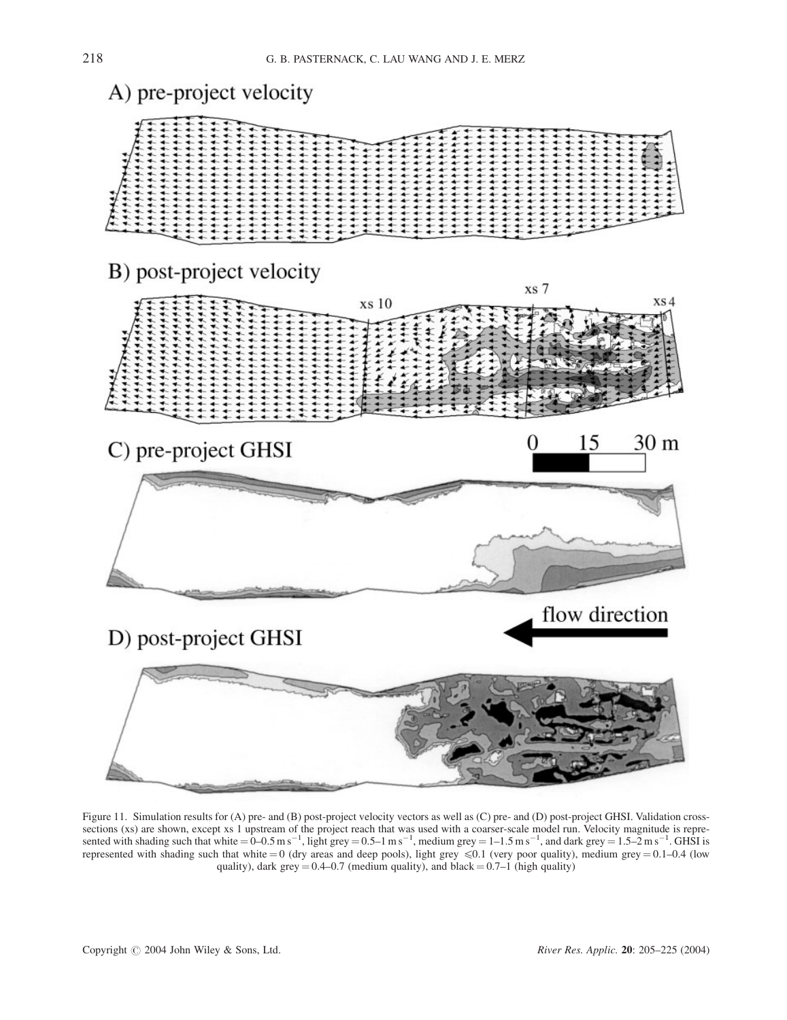

Figure 11. Simulation results for (A) pre- and (B) post-project velocity vectors as well as (C) pre- and (D) post-project GHSI. Validation crosssections (xs) are shown, except xs 1 upstream of the project reach that was used with a coarser-scale model run. Velocity magnitude is repre-<br>sented with shading such that white = 0–0.5 m s<sup>-1</sup>, light grey = 0.5–1 m s<sup>-1</sup> represented with shading such that white  $= 0$  (dry areas and deep pools), light grey  $\leq 0.1$  (very poor quality), medium grey  $= 0.1$ –0.4 (low quality), dark grey  $= 0.4 - 0.7$  (medium quality), and black  $= 0.7 - 1$  (high quality)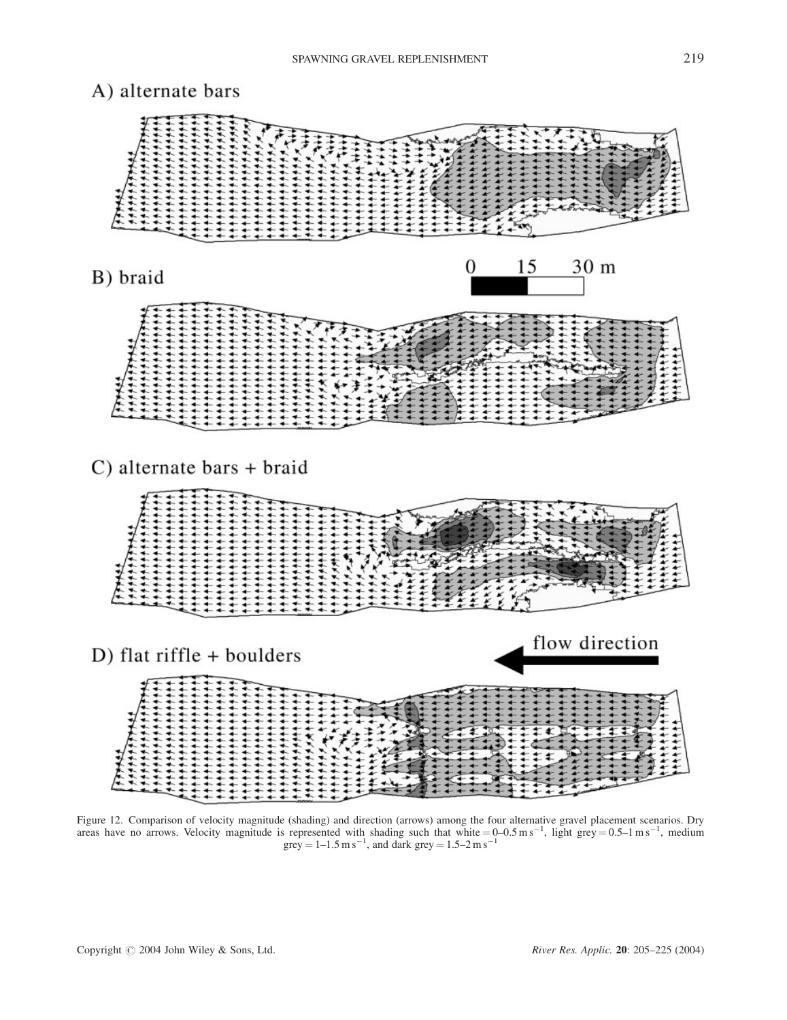

Figure 12. Comparison of velocity magnitude (shading) and direction (arrows) among the four alternative gravel placement scenarios. Dry areas have no arrows. Velocity magnitude is represented with shading such that white  $= 0-0.5$  ms<sup>-1</sup>, light grey  $= 0.5-1$  ms<sup>-1</sup>, medium grey =  $1 - 1.5$  m s<sup>-1</sup>, and dark grey =  $1.5 - 2$  m s<sup>-1</sup>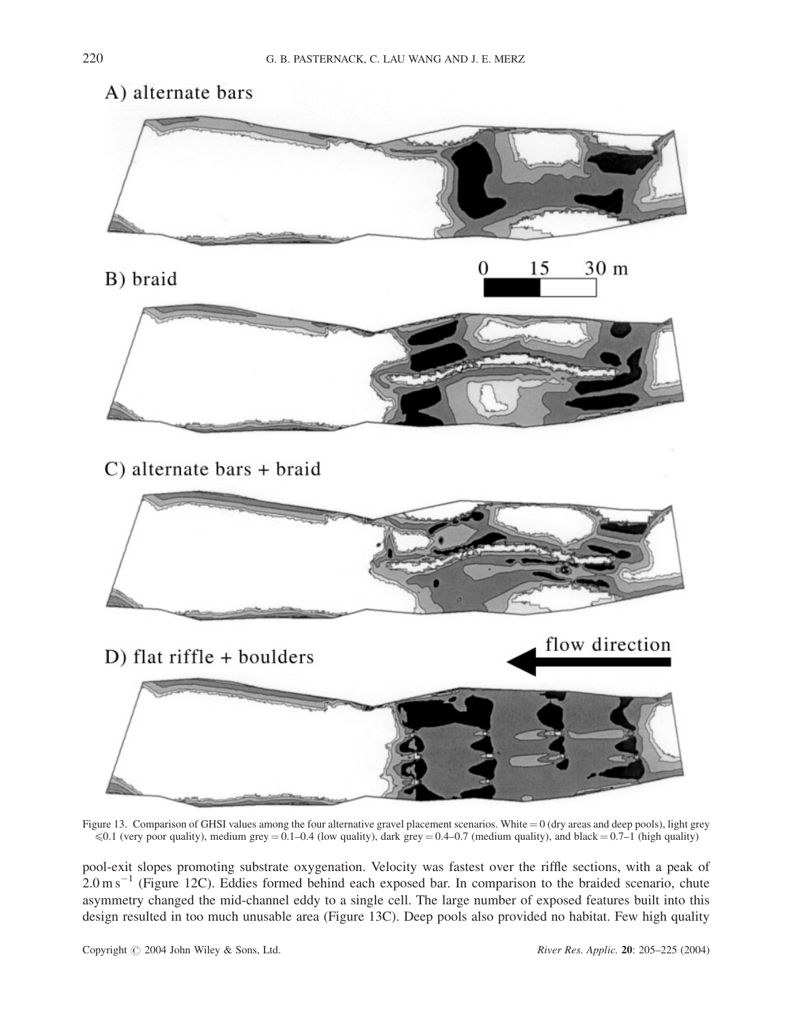

Figure 13. Comparison of GHSI values among the four alternative gravel placement scenarios. White  $= 0$  (dry areas and deep pools), light grey  $\leq 0.1$  (very poor quality), medium grey = 0.1–0.4 (low quality), dark grey = 0.4–0.7 (medium quality), and black = 0.7–1 (high quality)

pool-exit slopes promoting substrate oxygenation. Velocity was fastest over the riffle sections, with a peak of  $2.0 \text{ m s}^{-1}$  (Figure 12C). Eddies formed behind each exposed bar. In comparison to the braided scenario, chute asymmetry changed the mid-channel eddy to a single cell. The large number of exposed features built into this design resulted in too much unusable area (Figure 13C). Deep pools also provided no habitat. Few high quality

Copyright  $\odot$  2004 John Wiley & Sons, Ltd. River Res. Applic. 20: 205–225 (2004)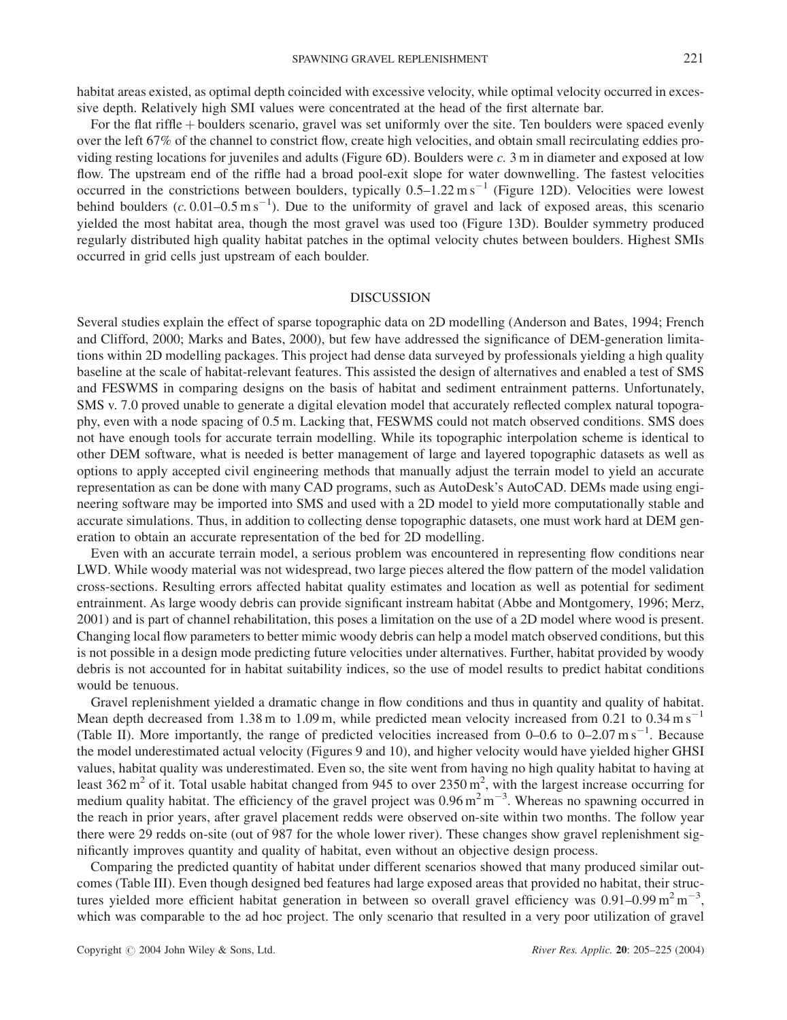habitat areas existed, as optimal depth coincided with excessive velocity, while optimal velocity occurred in excessive depth. Relatively high SMI values were concentrated at the head of the first alternate bar.

For the flat riffle + boulders scenario, gravel was set uniformly over the site. Ten boulders were spaced evenly over the left 67% of the channel to constrict flow, create high velocities, and obtain small recirculating eddies providing resting locations for juveniles and adults (Figure  $6D$ ). Boulders were c. 3 m in diameter and exposed at low flow. The upstream end of the riffle had a broad pool-exit slope for water downwelling. The fastest velocities occurred in the constrictions between boulders, typically  $0.5-1.22 \text{ m s}^{-1}$  (Figure 12D). Velocities were lowest behind boulders  $(c. 0.01-0.5 \text{ m s}^{-1})$ . Due to the uniformity of gravel and lack of exposed areas, this scenario yielded the most habitat area, though the most gravel was used too (Figure 13D). Boulder symmetry produced regularly distributed high quality habitat patches in the optimal velocity chutes between boulders. Highest SMIs occurred in grid cells just upstream of each boulder.

### DISCUSSION

Several studies explain the effect of sparse topographic data on 2D modelling (Anderson and Bates, 1994; French and Clifford, 2000; Marks and Bates, 2000), but few have addressed the significance of DEM-generation limitations within 2D modelling packages. This project had dense data surveyed by professionals yielding a high quality baseline at the scale of habitat-relevant features. This assisted the design of alternatives and enabled a test of SMS and FESWMS in comparing designs on the basis of habitat and sediment entrainment patterns. Unfortunately, SMS v. 7.0 proved unable to generate a digital elevation model that accurately reflected complex natural topography, even with a node spacing of 0.5 m. Lacking that, FESWMS could not match observed conditions. SMS does not have enough tools for accurate terrain modelling. While its topographic interpolation scheme is identical to other DEM software, what is needed is better management of large and layered topographic datasets as well as options to apply accepted civil engineering methods that manually adjust the terrain model to yield an accurate representation as can be done with many CAD programs, such as AutoDesk's AutoCAD. DEMs made using engineering software may be imported into SMS and used with a 2D model to yield more computationally stable and accurate simulations. Thus, in addition to collecting dense topographic datasets, one must work hard at DEM generation to obtain an accurate representation of the bed for 2D modelling.

Even with an accurate terrain model, a serious problem was encountered in representing flow conditions near LWD. While woody material was not widespread, two large pieces altered the flow pattern of the model validation cross-sections. Resulting errors affected habitat quality estimates and location as well as potential for sediment entrainment. As large woody debris can provide significant instream habitat (Abbe and Montgomery, 1996; Merz, 2001) and is part of channel rehabilitation, this poses a limitation on the use of a 2D model where wood is present. Changing local flow parameters to better mimic woody debris can help a model match observed conditions, but this is not possible in a design mode predicting future velocities under alternatives. Further, habitat provided by woody debris is not accounted for in habitat suitability indices, so the use of model results to predict habitat conditions would be tenuous.

Gravel replenishment yielded a dramatic change in flow conditions and thus in quantity and quality of habitat. Mean depth decreased from 1.38 m to 1.09 m, while predicted mean velocity increased from 0.21 to 0.34 m s<sup>-1</sup> (Table II). More importantly, the range of predicted velocities increased from  $0-0.6$  to  $0-2.07$  m s<sup>-1</sup>. Because the model underestimated actual velocity (Figures 9 and 10), and higher velocity would have yielded higher GHSI values, habitat quality was underestimated. Even so, the site went from having no high quality habitat to having at least  $362 \text{ m}^2$  of it. Total usable habitat changed from 945 to over  $2350 \text{ m}^2$ , with the largest increase occurring for medium quality habitat. The efficiency of the gravel project was  $0.96 \text{ m}^2 \text{ m}^{-3}$ . Whereas no spawning occurred in the reach in prior years, after gravel placement redds were observed on-site within two months. The follow year there were 29 redds on-site (out of 987 for the whole lower river). These changes show gravel replenishment significantly improves quantity and quality of habitat, even without an objective design process.

Comparing the predicted quantity of habitat under different scenarios showed that many produced similar outcomes (Table III). Even though designed bed features had large exposed areas that provided no habitat, their structures yielded more efficient habitat generation in between so overall gravel efficiency was  $0.91-0.99 \text{ m}^2 \text{ m}^{-3}$ , which was comparable to the ad hoc project. The only scenario that resulted in a very poor utilization of gravel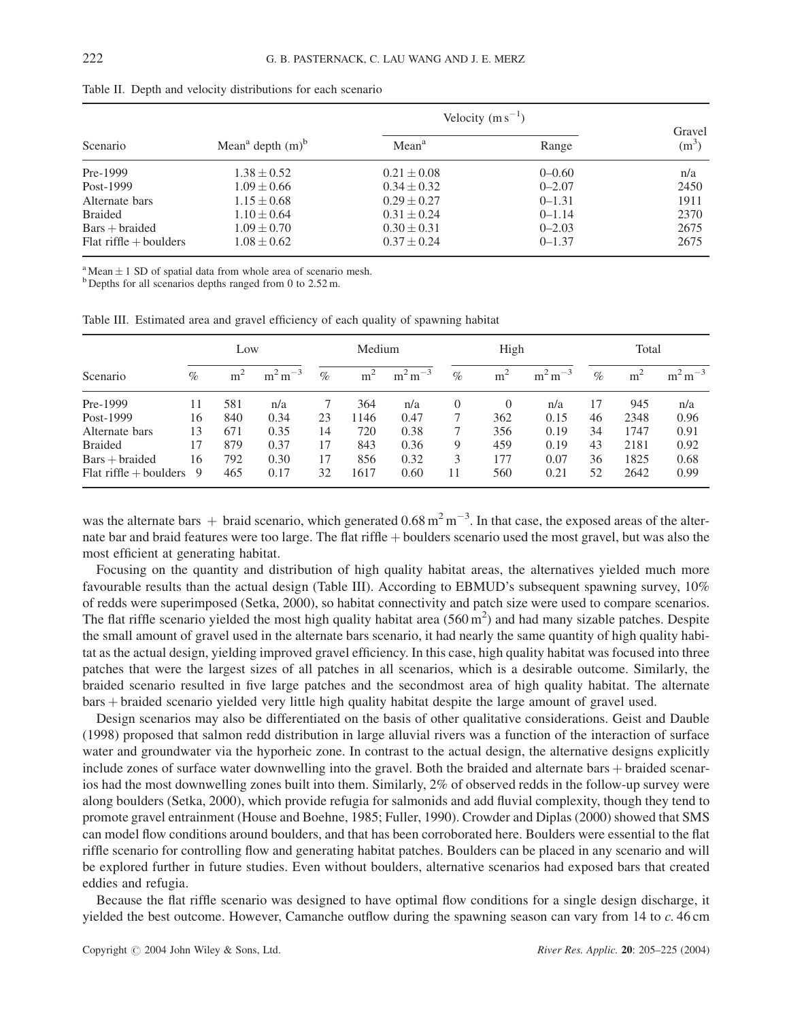|                          |                                            | Velocity $(m s^{-1})$ |            |                   |
|--------------------------|--------------------------------------------|-----------------------|------------|-------------------|
| Scenario                 | Mean <sup>a</sup> depth $(m)$ <sup>b</sup> | Mean <sup>a</sup>     | Range      | Gravel<br>$(m^3)$ |
| Pre-1999                 | $1.38 \pm 0.52$                            | $0.21 \pm 0.08$       | $0 - 0.60$ | n/a               |
| Post-1999                | $1.09 \pm 0.66$                            | $0.34 \pm 0.32$       | $0 - 2.07$ | 2450              |
| Alternate bars           | $1.15 \pm 0.68$                            | $0.29 \pm 0.27$       | $0 - 1.31$ | 1911              |
| <b>Braided</b>           | $1.10 \pm 0.64$                            | $0.31 \pm 0.24$       | $0 - 1.14$ | 2370              |
| $Bars + braided$         | $1.09 \pm 0.70$                            | $0.30 \pm 0.31$       | $0 - 2.03$ | 2675              |
| $Flat$ riffle + boulders | $1.08 \pm 0.62$                            | $0.37 + 0.24$         | $0 - 1.37$ | 2675              |

Table II. Depth and velocity distributions for each scenario

<sup>a</sup> Mean  $\pm$  1 SD of spatial data from whole area of scenario mesh. b Depths for all scenarios depths ranged from 0 to 2.52 m.

Table III. Estimated area and gravel efficiency of each quality of spawning habitat

|                          |      | Low   |              | Medium |                | High            |      | Total          |              |      |                |              |
|--------------------------|------|-------|--------------|--------|----------------|-----------------|------|----------------|--------------|------|----------------|--------------|
| Scenario                 | $\%$ | $m^2$ | $m^2 m^{-3}$ | $\%$   | m <sup>2</sup> | $m^2 m$<br>$-3$ | $\%$ | m <sup>2</sup> | $m^2 m^{-3}$ | $\%$ | m <sup>2</sup> | $m^2 m^{-3}$ |
| Pre-1999                 | 11   | 581   | n/a          |        | 364            | n/a             | 0    | $\left($       | n/a          | 17   | 945            | n/a          |
| Post-1999                | 16   | 840   | 0.34         | 23     | 1146           | 0.47            | 7    | 362            | 0.15         | 46   | 2348           | 0.96         |
| Alternate bars           | 13   | 671   | 0.35         | 14     | 720            | 0.38            |      | 356            | 0.19         | 34   | 1747           | 0.91         |
| <b>Braided</b>           | 17   | 879   | 0.37         | 17     | 843            | 0.36            | 9    | 459            | 0.19         | 43   | 2181           | 0.92         |
| $Bars + braided$         | 16   | 792   | 0.30         | 17     | 856            | 0.32            | 3    | 177            | 0.07         | 36   | 1825           | 0.68         |
| $Flat\;riffe + boulders$ | 9    | 465   | 0.17         | 32     | 1617           | 0.60            | 11   | 560            | 0.21         | 52   | 2642           | 0.99         |

was the alternate bars  $+$  braid scenario, which generated 0.68 m<sup>2</sup> m<sup>-3</sup>. In that case, the exposed areas of the alternate bar and braid features were too large. The flat riffle + boulders scenario used the most gravel, but was also the most efficient at generating habitat.

Focusing on the quantity and distribution of high quality habitat areas, the alternatives yielded much more favourable results than the actual design (Table III). According to EBMUD's subsequent spawning survey, 10% of redds were superimposed (Setka, 2000), so habitat connectivity and patch size were used to compare scenarios. The flat riffle scenario yielded the most high quality habitat area  $(560 \text{ m}^2)$  and had many sizable patches. Despite the small amount of gravel used in the alternate bars scenario, it had nearly the same quantity of high quality habitat as the actual design, yielding improved gravel efficiency. In this case, high quality habitat was focused into three patches that were the largest sizes of all patches in all scenarios, which is a desirable outcome. Similarly, the braided scenario resulted in five large patches and the secondmost area of high quality habitat. The alternate bars þ braided scenario yielded very little high quality habitat despite the large amount of gravel used.

Design scenarios may also be differentiated on the basis of other qualitative considerations. Geist and Dauble (1998) proposed that salmon redd distribution in large alluvial rivers was a function of the interaction of surface water and groundwater via the hyporheic zone. In contrast to the actual design, the alternative designs explicitly include zones of surface water downwelling into the gravel. Both the braided and alternate bars + braided scenarios had the most downwelling zones built into them. Similarly, 2% of observed redds in the follow-up survey were along boulders (Setka, 2000), which provide refugia for salmonids and add fluvial complexity, though they tend to promote gravel entrainment (House and Boehne, 1985; Fuller, 1990). Crowder and Diplas (2000) showed that SMS can model flow conditions around boulders, and that has been corroborated here. Boulders were essential to the flat riffle scenario for controlling flow and generating habitat patches. Boulders can be placed in any scenario and will be explored further in future studies. Even without boulders, alternative scenarios had exposed bars that created eddies and refugia.

Because the flat riffle scenario was designed to have optimal flow conditions for a single design discharge, it yielded the best outcome. However, Camanche outflow during the spawning season can vary from 14 to c. 46 cm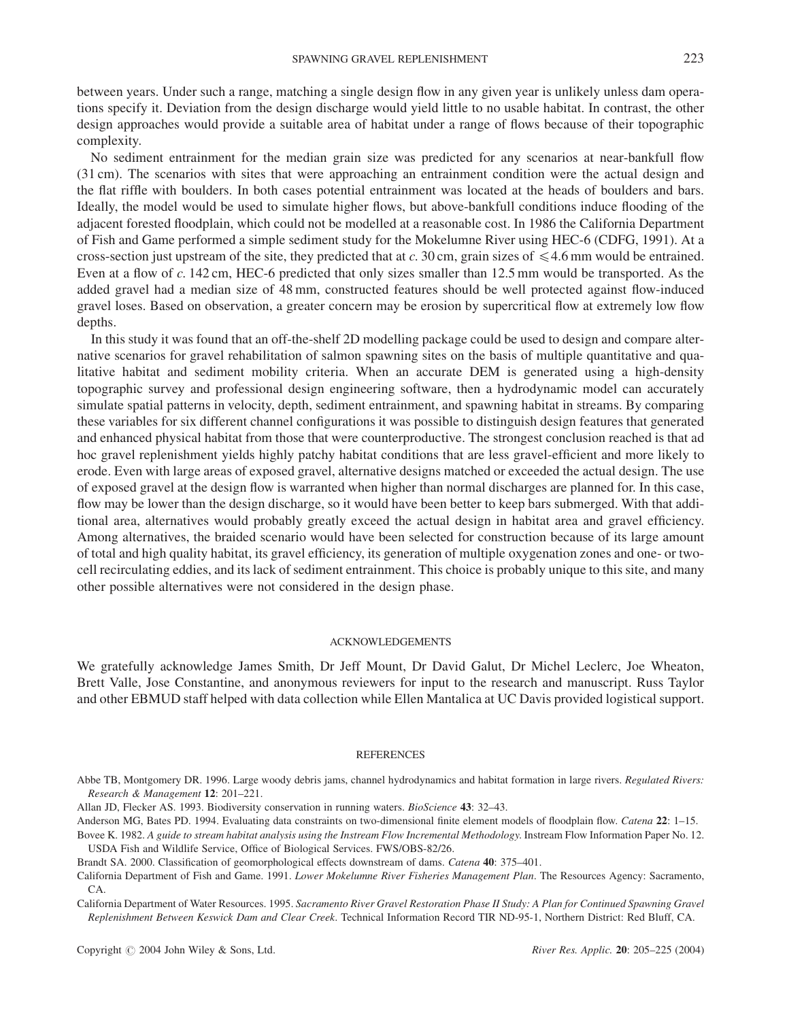between years. Under such a range, matching a single design flow in any given year is unlikely unless dam operations specify it. Deviation from the design discharge would yield little to no usable habitat. In contrast, the other design approaches would provide a suitable area of habitat under a range of flows because of their topographic complexity.

No sediment entrainment for the median grain size was predicted for any scenarios at near-bankfull flow (31 cm). The scenarios with sites that were approaching an entrainment condition were the actual design and the flat riffle with boulders. In both cases potential entrainment was located at the heads of boulders and bars. Ideally, the model would be used to simulate higher flows, but above-bankfull conditions induce flooding of the adjacent forested floodplain, which could not be modelled at a reasonable cost. In 1986 the California Department of Fish and Game performed a simple sediment study for the Mokelumne River using HEC-6 (CDFG, 1991). At a cross-section just upstream of the site, they predicted that at c. 30 cm, grain sizes of  $\leq 4.6$  mm would be entrained. Even at a flow of c. 142 cm, HEC-6 predicted that only sizes smaller than 12.5 mm would be transported. As the added gravel had a median size of 48 mm, constructed features should be well protected against flow-induced gravel loses. Based on observation, a greater concern may be erosion by supercritical flow at extremely low flow depths.

In this study it was found that an off-the-shelf 2D modelling package could be used to design and compare alternative scenarios for gravel rehabilitation of salmon spawning sites on the basis of multiple quantitative and qualitative habitat and sediment mobility criteria. When an accurate DEM is generated using a high-density topographic survey and professional design engineering software, then a hydrodynamic model can accurately simulate spatial patterns in velocity, depth, sediment entrainment, and spawning habitat in streams. By comparing these variables for six different channel configurations it was possible to distinguish design features that generated and enhanced physical habitat from those that were counterproductive. The strongest conclusion reached is that ad hoc gravel replenishment yields highly patchy habitat conditions that are less gravel-efficient and more likely to erode. Even with large areas of exposed gravel, alternative designs matched or exceeded the actual design. The use of exposed gravel at the design flow is warranted when higher than normal discharges are planned for. In this case, flow may be lower than the design discharge, so it would have been better to keep bars submerged. With that additional area, alternatives would probably greatly exceed the actual design in habitat area and gravel efficiency. Among alternatives, the braided scenario would have been selected for construction because of its large amount of total and high quality habitat, its gravel efficiency, its generation of multiple oxygenation zones and one- or twocell recirculating eddies, and its lack of sediment entrainment. This choice is probably unique to this site, and many other possible alternatives were not considered in the design phase.

#### ACKNOWLEDGEMENTS

We gratefully acknowledge James Smith, Dr Jeff Mount, Dr David Galut, Dr Michel Leclerc, Joe Wheaton, Brett Valle, Jose Constantine, and anonymous reviewers for input to the research and manuscript. Russ Taylor and other EBMUD staff helped with data collection while Ellen Mantalica at UC Davis provided logistical support.

#### **REFERENCES**

- Abbe TB, Montgomery DR. 1996. Large woody debris jams, channel hydrodynamics and habitat formation in large rivers. Regulated Rivers: Research & Management 12: 201–221.
- Allan JD, Flecker AS. 1993. Biodiversity conservation in running waters. BioScience 43: 32–43.
- Anderson MG, Bates PD. 1994. Evaluating data constraints on two-dimensional finite element models of floodplain flow. Catena 22: 1-15. Bovee K. 1982. A guide to stream habitat analysis using the Instream Flow Incremental Methodology. Instream Flow Information Paper No. 12.

USDA Fish and Wildlife Service, Office of Biological Services. FWS/OBS-82/26.

California Department of Water Resources. 1995. Sacramento River Gravel Restoration Phase II Study: A Plan for Continued Spawning Gravel Replenishment Between Keswick Dam and Clear Creek. Technical Information Record TIR ND-95-1, Northern District: Red Bluff, CA.

Brandt SA. 2000. Classification of geomorphological effects downstream of dams. Catena 40: 375–401.

California Department of Fish and Game. 1991. Lower Mokelumne River Fisheries Management Plan. The Resources Agency: Sacramento, CA.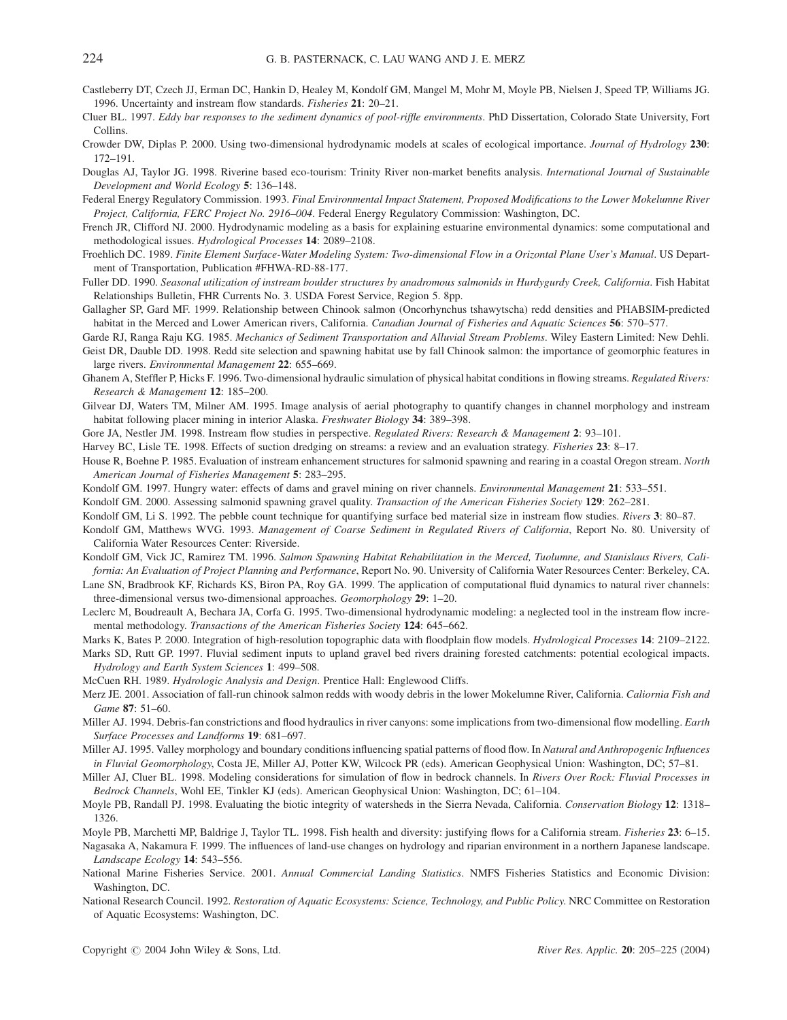- Castleberry DT, Czech JJ, Erman DC, Hankin D, Healey M, Kondolf GM, Mangel M, Mohr M, Moyle PB, Nielsen J, Speed TP, Williams JG. 1996. Uncertainty and instream flow standards. Fisheries 21: 20–21.
- Cluer BL. 1997. Eddy bar responses to the sediment dynamics of pool-riffle environments. PhD Dissertation, Colorado State University, Fort Collins.
- Crowder DW, Diplas P. 2000. Using two-dimensional hydrodynamic models at scales of ecological importance. Journal of Hydrology 230: 172–191.
- Douglas AJ, Taylor JG. 1998. Riverine based eco-tourism: Trinity River non-market benefits analysis. International Journal of Sustainable Development and World Ecology 5: 136–148.
- Federal Energy Regulatory Commission. 1993. Final Environmental Impact Statement, Proposed Modifications to the Lower Mokelumne River Project, California, FERC Project No. 2916–004. Federal Energy Regulatory Commission: Washington, DC.
- French JR, Clifford NJ. 2000. Hydrodynamic modeling as a basis for explaining estuarine environmental dynamics: some computational and methodological issues. Hydrological Processes 14: 2089–2108.
- Froehlich DC. 1989. Finite Element Surface-Water Modeling System: Two-dimensional Flow in a Orizontal Plane User's Manual. US Department of Transportation, Publication #FHWA-RD-88-177.
- Fuller DD. 1990. Seasonal utilization of instream boulder structures by anadromous salmonids in Hurdygurdy Creek, California. Fish Habitat Relationships Bulletin, FHR Currents No. 3. USDA Forest Service, Region 5. 8pp.
- Gallagher SP, Gard MF. 1999. Relationship between Chinook salmon (Oncorhynchus tshawytscha) redd densities and PHABSIM-predicted habitat in the Merced and Lower American rivers, California. Canadian Journal of Fisheries and Aquatic Sciences 56: 570–577.
- Garde RJ, Ranga Raju KG. 1985. Mechanics of Sediment Transportation and Alluvial Stream Problems. Wiley Eastern Limited: New Dehli.
- Geist DR, Dauble DD. 1998. Redd site selection and spawning habitat use by fall Chinook salmon: the importance of geomorphic features in large rivers. Environmental Management 22: 655–669.
- Ghanem A, Steffler P, Hicks F. 1996. Two-dimensional hydraulic simulation of physical habitat conditions in flowing streams. Regulated Rivers: Research & Management 12: 185–200.
- Gilvear DJ, Waters TM, Milner AM. 1995. Image analysis of aerial photography to quantify changes in channel morphology and instream habitat following placer mining in interior Alaska. Freshwater Biology 34: 389–398.
- Gore JA, Nestler JM. 1998. Instream flow studies in perspective. Regulated Rivers: Research & Management 2: 93-101.

Harvey BC, Lisle TE. 1998. Effects of suction dredging on streams: a review and an evaluation strategy. Fisheries 23: 8–17.

- House R, Boehne P. 1985. Evaluation of instream enhancement structures for salmonid spawning and rearing in a coastal Oregon stream. North American Journal of Fisheries Management 5: 283–295.
- Kondolf GM. 1997. Hungry water: effects of dams and gravel mining on river channels. Environmental Management 21: 533-551.
- Kondolf GM. 2000. Assessing salmonid spawning gravel quality. Transaction of the American Fisheries Society 129: 262-281.
- Kondolf GM, Li S. 1992. The pebble count technique for quantifying surface bed material size in instream flow studies. Rivers 3: 80–87.
- Kondolf GM, Matthews WVG. 1993. Management of Coarse Sediment in Regulated Rivers of California, Report No. 80. University of California Water Resources Center: Riverside.
- Kondolf GM, Vick JC, Ramirez TM. 1996. Salmon Spawning Habitat Rehabilitation in the Merced, Tuolumne, and Stanislaus Rivers, California: An Evaluation of Project Planning and Performance, Report No. 90. University of California Water Resources Center: Berkeley, CA.
- Lane SN, Bradbrook KF, Richards KS, Biron PA, Roy GA. 1999. The application of computational fluid dynamics to natural river channels: three-dimensional versus two-dimensional approaches. Geomorphology 29: 1–20.
- Leclerc M, Boudreault A, Bechara JA, Corfa G. 1995. Two-dimensional hydrodynamic modeling: a neglected tool in the instream flow incremental methodology. Transactions of the American Fisheries Society 124: 645–662.
- Marks K, Bates P. 2000. Integration of high-resolution topographic data with floodplain flow models. Hydrological Processes 14: 2109–2122.
- Marks SD, Rutt GP. 1997. Fluvial sediment inputs to upland gravel bed rivers draining forested catchments: potential ecological impacts. Hydrology and Earth System Sciences 1: 499–508.
- McCuen RH. 1989. Hydrologic Analysis and Design. Prentice Hall: Englewood Cliffs.
- Merz JE. 2001. Association of fall-run chinook salmon redds with woody debris in the lower Mokelumne River, California. Caliornia Fish and Game 87: 51–60.
- Miller AJ. 1994. Debris-fan constrictions and flood hydraulics in river canyons: some implications from two-dimensional flow modelling. Earth Surface Processes and Landforms 19: 681–697.
- Miller AJ. 1995. Valley morphology and boundary conditions influencing spatial patterns of flood flow. In Natural and Anthropogenic Influences in Fluvial Geomorphology, Costa JE, Miller AJ, Potter KW, Wilcock PR (eds). American Geophysical Union: Washington, DC; 57–81.
- Miller AJ, Cluer BL. 1998. Modeling considerations for simulation of flow in bedrock channels. In Rivers Over Rock: Fluvial Processes in Bedrock Channels, Wohl EE, Tinkler KJ (eds). American Geophysical Union: Washington, DC; 61–104.
- Moyle PB, Randall PJ. 1998. Evaluating the biotic integrity of watersheds in the Sierra Nevada, California. Conservation Biology 12: 1318– 1326.

Moyle PB, Marchetti MP, Baldrige J, Taylor TL. 1998. Fish health and diversity: justifying flows for a California stream. Fisheries 23: 6-15.

Nagasaka A, Nakamura F. 1999. The influences of land-use changes on hydrology and riparian environment in a northern Japanese landscape. Landscape Ecology 14: 543–556.

- National Marine Fisheries Service. 2001. Annual Commercial Landing Statistics. NMFS Fisheries Statistics and Economic Division: Washington, DC.
- National Research Council. 1992. Restoration of Aquatic Ecosystems: Science, Technology, and Public Policy. NRC Committee on Restoration of Aquatic Ecosystems: Washington, DC.